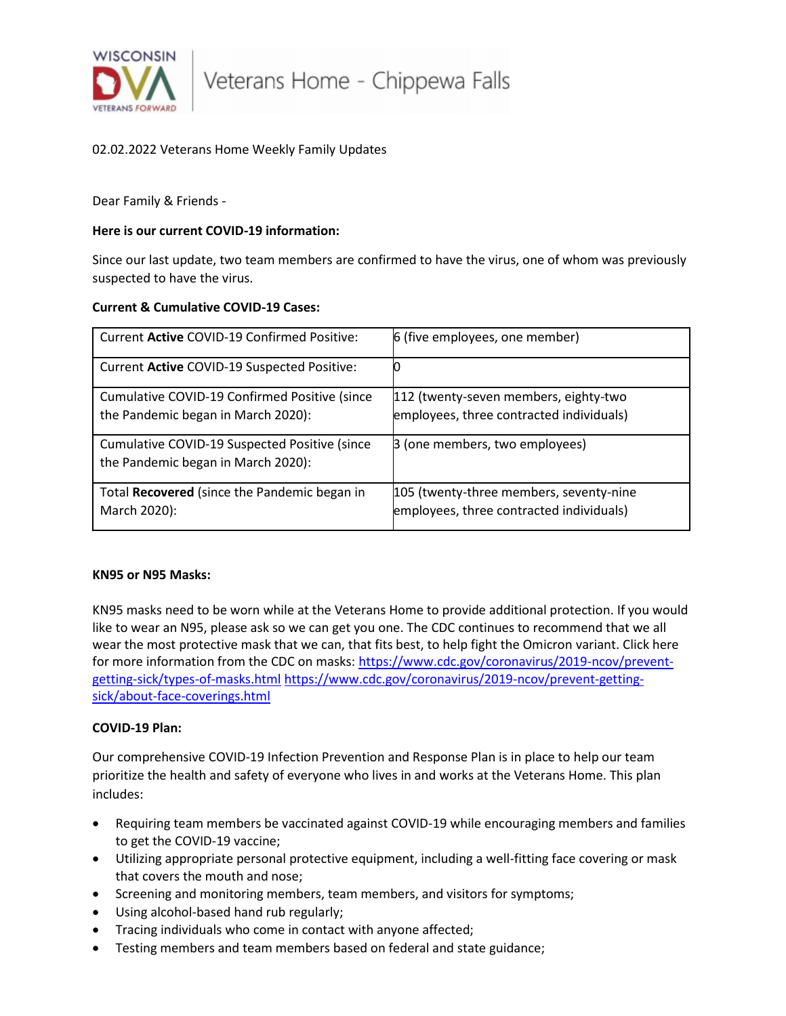

# 02.02.2022 Veterans Home Weekly Family Updates

Dear Family & Friends -

## **Here is our current COVID-19 information:**

Since our last update, two team members are confirmed to have the virus, one of whom was previously suspected to have the virus.

# **Current & Cumulative COVID-19 Cases:**

| Current Active COVID-19 Confirmed Positive:                                         | 6 (five employees, one member)                                                      |
|-------------------------------------------------------------------------------------|-------------------------------------------------------------------------------------|
| Current Active COVID-19 Suspected Positive:                                         |                                                                                     |
| Cumulative COVID-19 Confirmed Positive (since<br>the Pandemic began in March 2020): | 112 (twenty-seven members, eighty-two<br>employees, three contracted individuals)   |
| Cumulative COVID-19 Suspected Positive (since<br>the Pandemic began in March 2020): | B (one members, two employees)                                                      |
| Total Recovered (since the Pandemic began in<br>March 2020):                        | 105 (twenty-three members, seventy-nine<br>employees, three contracted individuals) |

#### **KN95 or N95 Masks:**

KN95 masks need to be worn while at the Veterans Home to provide additional protection. If you would like to wear an N95, please ask so we can get you one. The CDC continues to recommend that we all wear the most protective mask that we can, that fits best, to help fight the Omicron variant. Click here for more information from the CDC on masks: [https://www.cdc.gov/coronavirus/2019-ncov/prevent](https://www.cdc.gov/coronavirus/2019-ncov/prevent-getting-sick/types-of-masks.html)[getting-sick/types-of-masks.html](https://www.cdc.gov/coronavirus/2019-ncov/prevent-getting-sick/types-of-masks.html) [https://www.cdc.gov/coronavirus/2019-ncov/prevent-getting](https://www.cdc.gov/coronavirus/2019-ncov/prevent-getting-sick/about-face-coverings.html)[sick/about-face-coverings.html](https://www.cdc.gov/coronavirus/2019-ncov/prevent-getting-sick/about-face-coverings.html)

#### **COVID-19 Plan:**

Our comprehensive COVID-19 Infection Prevention and Response Plan is in place to help our team prioritize the health and safety of everyone who lives in and works at the Veterans Home. This plan includes:

- Requiring team members be vaccinated against COVID-19 while encouraging members and families to get the COVID-19 vaccine;
- Utilizing appropriate personal protective equipment, including a well-fitting face covering or mask that covers the mouth and nose;
- Screening and monitoring members, team members, and visitors for symptoms;
- Using alcohol-based hand rub regularly;
- Tracing individuals who come in contact with anyone affected;
- Testing members and team members based on federal and state guidance;